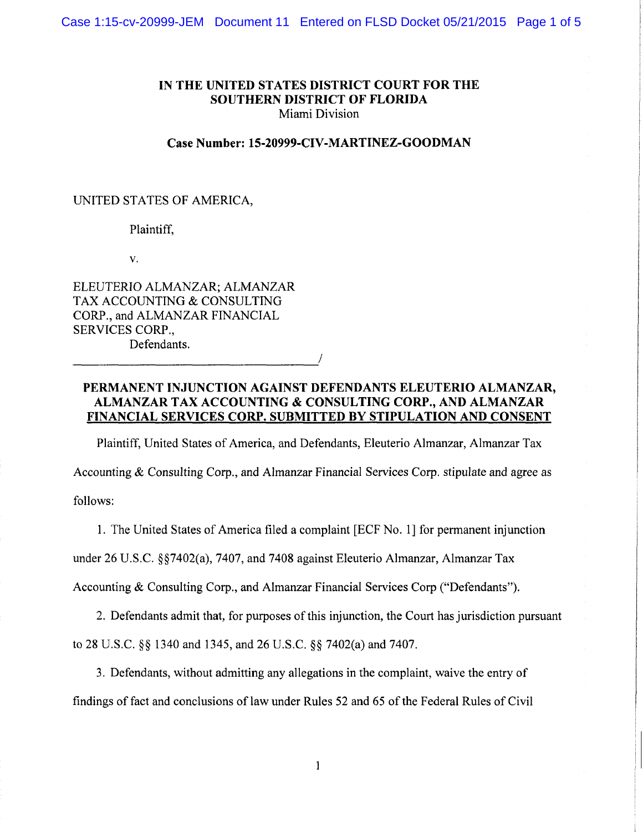### **IN THE UNITED STATES DISTRICT COURT FOR THE SOUTHERN DISTRICT OF FLORIDA**  Miami Division

#### **Case Number: 15-20999-CIV-MARTINEZ-GOODMAN**

### UNITED STATES OF AMERICA,

### Plaintiff,

v.

ELEUTERIO ALMANZAR; ALMANZAR TAX ACCOUNTING & CONSULTING CORP., and ALMANZAR FINANCIAL SERVICES CORP., Defendants. Defendants.

## **PERMANENT INJUNCTION AGAINST DEFENDANTS ELEUTERIO ALMANZAR, ALMANZAR TAX ACCOUNTING & CONSULTING CORP., AND ALMANZAR FINANCIAL SERVICES CORP. SUBMITTED BY STIPULATION AND CONSENT**

Plaintiff, United States of America, and Defendants, Eleuterio Almanzar, Almanzar Tax

Accounting & Consulting Corp., and Almanzar Financial Services Corp. stipulate and agree as follows:

1. The United States of America filed a complaint [ECF No. 1] for permanent injunction

under 26 U.S.C. §§7402(a), 7407, and 7408 against Eleuterio Almanzar, Almanzar Tax

Accounting & Consulting Corp., and Almanzar Financial Services Corp ("Defendants").

2. Defendants admit that, for purposes of this injunction, the Court has jurisdiction pursuant to 28 U.S.C. §§ 1340 and 1345, and 26 U.S.C. §§ 7402(a) and 7407.

3. Defendants, without admitting any allegations in the complaint, waive the entry of findings of fact and conclusions of law under Rules 52 and 65 of the Federal Rules of Civil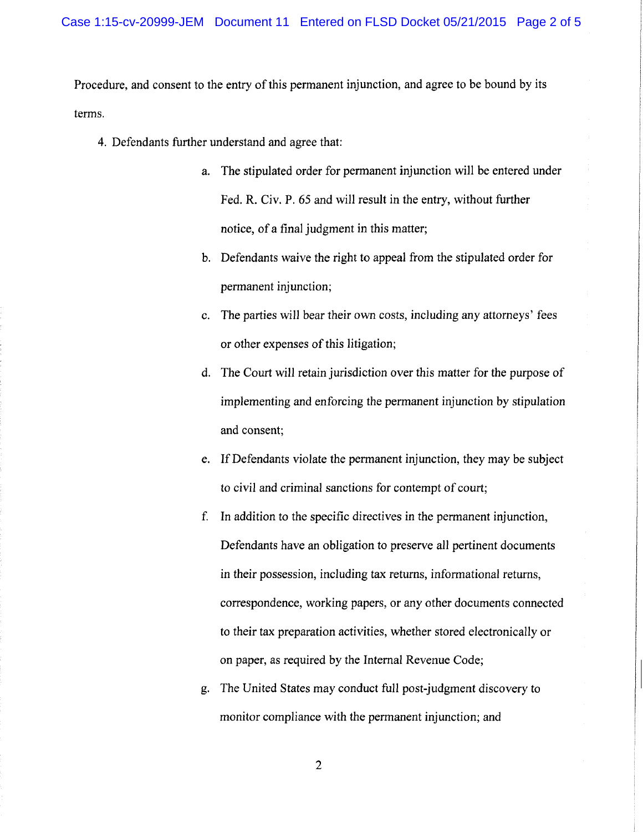Procedure, and consent to the entry of this permanent injunction, and agree to be bound by its terms.

- 4. Defendants further understand and agree that:
	- a. The stipulated order for permanent injunction will be entered under Fed. R. Civ. P. 65 and will result in the entry, without further notice, of a final judgment in this matter;
	- b. Defendants waive the right to appeal from the stipulated order for permanent injunction;
	- c. The parties will bear their own costs, including any attorneys' fees or other expenses of this litigation;
	- d. The Court will retain jurisdiction over this matter for the purpose of implementing and enforcing the permanent injunction by stipulation and consent;
	- e. If Defendants violate the permanent injunction, they may be subject to civil and criminal sanctions for contempt of court;
	- f. In addition to the specific directives in the permanent injunction, Defendants have an obligation to preserve all pertinent documents in their possession, including tax returns, informational returns, correspondence, working papers, or any other documents connected to their tax preparation activities, whether stored electronically or on paper, as required by the Internal Revenue Code;
	- g. The United States may conduct full post-judgment discovery to monitor compliance with the permanent injunction; and

2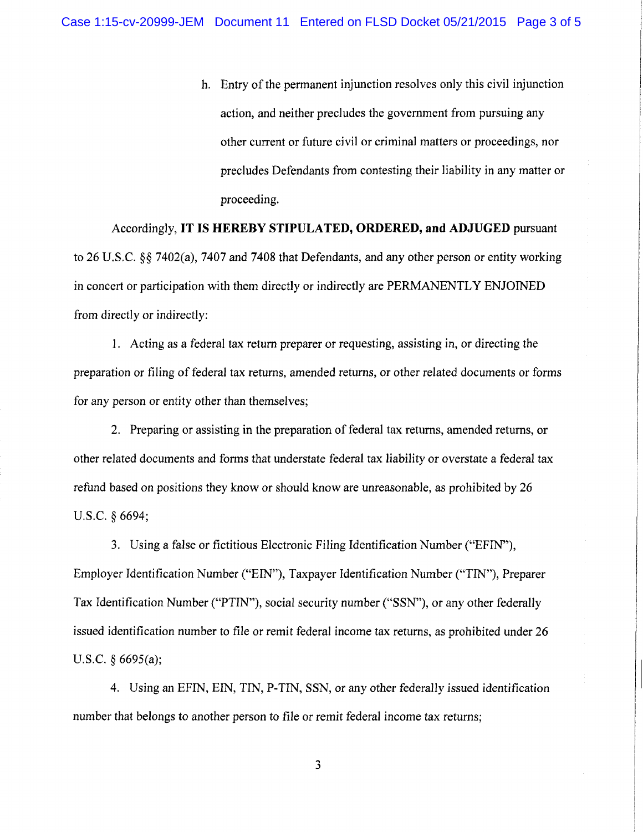h. Entry of the permanent injunction resolves only this civil injunction action, and neither precludes the government from pursuing any other current or future civil or criminal matters or proceedings, nor precludes Defendants from contesting their liability in any matter or proceeding.

Accordingly, **IT IS HEREBY STIPULATED, ORDERED, and ADJUGED** pursuant to 26 U.S.C. *§§* 7402(a), 7407 and 7408 that Defendants, and any other person or entity working in concert or participation with them directly or indirectly are PERMANENTLY ENJOINED from directly or indirectly:

1. Acting as a federal tax return preparer or requesting, assisting in, or directing the preparation or filing of federal tax returns, amended returns, or other related documents or forms for any person or entity other than themselves;

2. Preparing or assisting in the preparation of federal tax returns, amended returns, or other related documents and forms that understate federal tax liability or overstate a federal tax refund based on positions they know or should know are unreasonable, as prohibited by 26 U.S.C. *§* 6694;

3. Using a false or fictitious Electronic Filing Identification Number ("EFIN"), Employer Identification Number ("EIN"), Taxpayer Identification Number ("TIN"), Preparer Tax Identification Number ("PTIN"), social security number ("SSN"), or any other federally issued identification number to file or remit federal income tax returns, as prohibited under 26 U.S.C. *§* 6695(a);

4. Using an EFIN, EIN, TIN, P-TIN, SSN, or any other federally issued identification number that belongs to another person to file or remit federal income tax returns;

3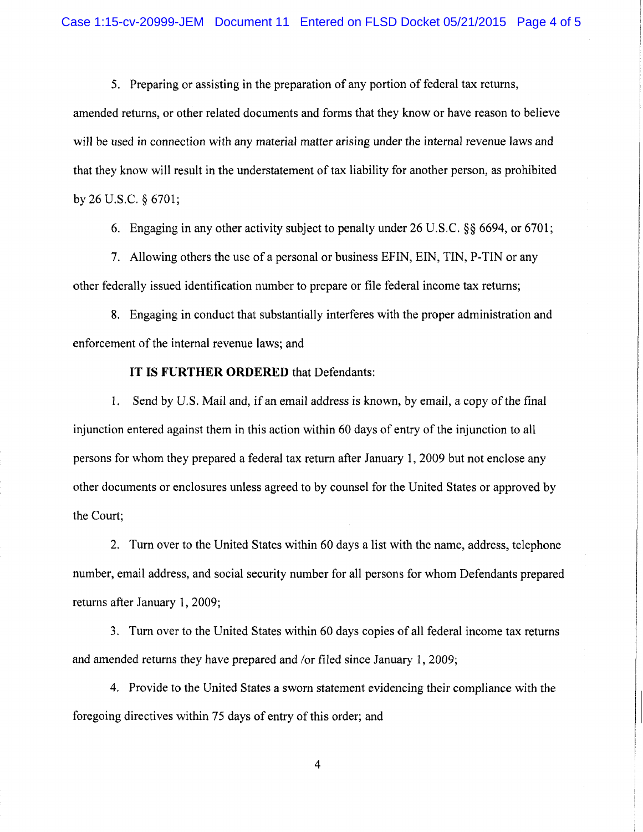5. Preparing or assisting in the preparation of any portion of federal tax returns,

amended returns, or other related documents and forms that they know or have reason to believe will be used in connection with any material matter arising under the internal revenue laws and that they know will result in the understatement of tax liability for another person, as prohibited by 26 U.S.C. § 6701;

6. Engaging in any other activity subject to penalty under 26 U.S.C. §§ 6694, or 6701;

7. Allowing others the use of a personal or business EFIN, EIN, TIN, P-TIN or any other federally issued identification number to prepare or file federal income tax returns;

8. Engaging in conduct that substantially interferes with the proper administration and enforcement of the internal revenue laws; and

## IT IS **FURTHER ORDERED** that Defendants:

1. Send by U.S. Mail and, if an email address is known, by email, a copy of the final injunction entered against them in this action within 60 days of entry of the injunction to all persons for whom they prepared a federal tax return after January 1, 2009 but not enclose any other documents or enclosures unless agreed to by counsel for the United States or approved by the Court;

2. Turn over to the United States within 60 days a list with the name, address, telephone number, email address, and social security number for all persons for whom Defendants prepared returns after January 1, 2009;

3. Turn over to the United States within 60 days copies of all federal income tax returns and amended returns they have prepared and /or filed since January 1, 2009;

4. Provide to the United States a sworn statement evidencing their compliance with the foregoing directives within 75 days of entry of this order; and

4